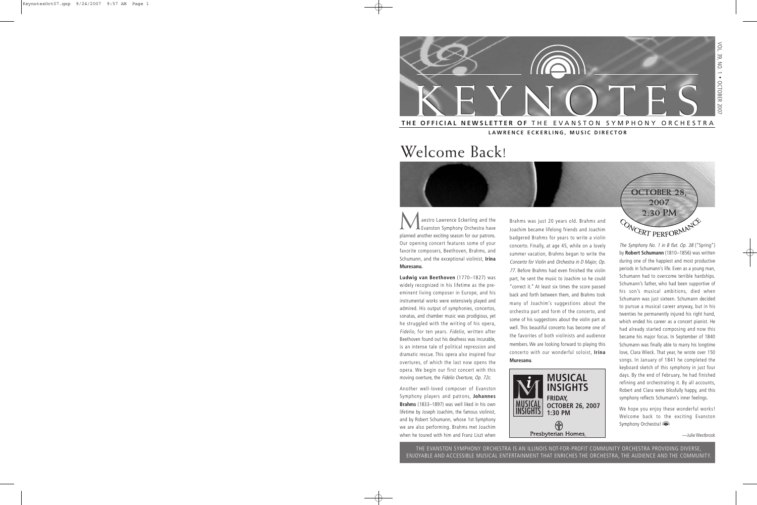

**LAWRENCE ECKERLING, MUSIC DIRECTOR**

# Welcome Back!

aestro Lawrence Eckerling and the Evanston Symphony Orchestra have planned another exciting season for our patrons. Our opening concert features some of your favorite composers, Beethoven, Brahms, and Schumann, and the exceptional violinist, **Irina Muresanu.**

**Ludwig van Beethoven** (1770–1827) was widely recognized in his lifetime as the preeminent living composer in Europe, and his instrumental works were extensively played and admired. His output of symphonies, concertos, sonatas, and chamber music was prodigious, yet he struggled with the writing of his opera, Fidelio, for ten years. Fidelio, written after Beethoven found out his deafness was incurable, is an intense tale of political repression and dramatic rescue. This opera also inspired four overtures, of which the last now opens the opera. We begin our first concert with this moving overture, the Fidelio Overture, Op. 72c.

Another well-loved composer of Evanston Symphony players and patrons, **Johannes Brahms** (1833–1897) was well liked in his own lifetime by Joseph Joachim, the famous violinist, and by Robert Schumann, whose 1st Symphony we are also performing. Brahms met Joachim when he toured with him and Franz Liszt when

Brahms was just 20 years old. Brahms and Joachim became lifelong friends and Joachim badgered Brahms for years to write a violin concerto. Finally, at age 45, while on a lovely summer vacation, Brahms began to write the Concerto for Violin and Orchestra in D Major, Op. <sup>77</sup>. Before Brahms had even finished the violin part, he sent the music to Joachim so he could "correct it." At least six times the score passed back and forth between them, and Brahms took many of Joachim's suggestions about the orchestra part and form of the concerto, and some of his suggestions about the violin part as well. This beautiful concerto has become one of the favorites of both violinists and audience members. We are looking forward to playing this concerto with our wonderful soloist, **Irina Muresanu**.



**OCTOBER 28, 2007 2:30 PM**  $\frac{1}{2}$  •

The Symphony No. 1 in B flat. Op. 38 ("Spring") by **Robert Schumann** (1810–1856) was written during one of the happiest and most productive periods in Schumann's life. Even as a young man, Schumann had to overcome terrible hardships. Schumann's father, who had been supportive of his son's musical ambitions, died when Schumann was just sixteen. Schumann decided to pursue a musical career anyway, but in his twenties he permanently injured his right hand, which ended his career as a concert pianist. He had already started composing and now this became his major focus. In September of 1840 Schumann was finally able to marry his longtime love, Clara Wieck. That year, he wrote over 150 songs. In January of 1841 he completed the keyboard sketch of this symphony in just four days. By the end of February, he had finished refining and orchestrating it. By all accounts, Robert and Clara were blissfully happy, and this symphony reflects Schumann's inner feelings.

We hope you enjoy these wonderful works! Welcome back to the exciting Evanston Symphony Orchestra!

—Julie Westbrook

THE EVANSTON SYMPHONY ORCHESTRA IS AN ILLINOIS NOT-FOR-PROFIT COMMUNITY ORCHESTRA PROVIDING DIVERSE, ENJOYABLE AND ACCESSIBLE MUSICAL ENTERTAINMENT THAT ENRICHES THE ORCHESTRA, THE AUDIENCE AND THE COMMUNITY.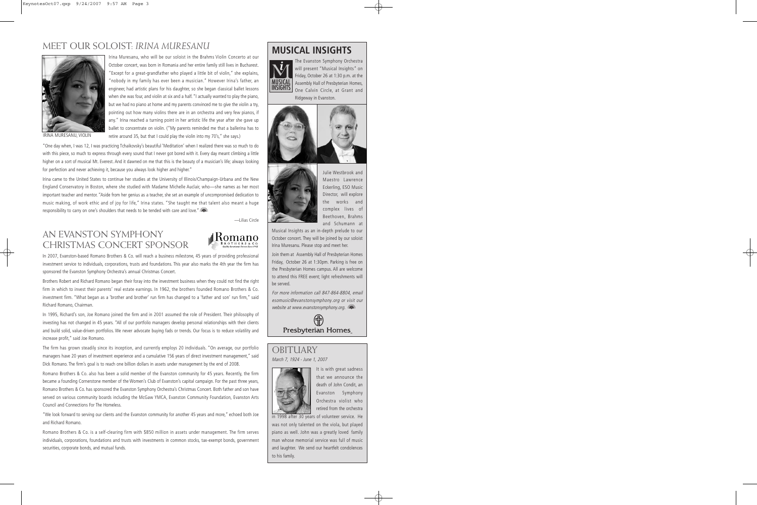#### MEET OUR SOLOIST: *IRINA MURESANU*



IRINA MURESANU, VIOLIN

Irina Muresanu, who will be our soloist in the Brahms Violin Concerto at our October concert, was born in Romania and her entire family still lives in Bucharest. "Except for a great-grandfather who played a little bit of violin," she explains, "nobody in my family has ever been a musician." However Irina's father, an engineer, had artistic plans for his daughter, so she began classical ballet lessons when she was four, and violin at six and a half. "I actually wanted to play the piano, but we had no piano at home and my parents convinced me to give the violin a try, pointing out how many violins there are in an orchestra and very few pianos, if any." Irina reached a turning point in her artistic life the year after she gave up ballet to concentrate on violin. ("My parents reminded me that a ballerina has to retire around 35, but that I could play the violin into my 70's," she says.)

"One day when, I was 12, I was practicing Tchaikovsky's beautiful 'Meditation' when I realized there was so much to do with this piece, so much to express through every sound that I never got bored with it. Every day meant climbing a little higher on a sort of musical Mt. Everest. And it dawned on me that this is the beauty of a musician's life; always looking for perfection and never achieving it, because you always look higher and higher."

Irina came to the United States to continue her studies at the University of Illinois/Champaign-Urbana and the New England Conservatory in Boston, where she studied with Madame Michelle Auclair, who—she names as her most important teacher and mentor. "Aside from her genius as a teacher, she set an example of uncompromised dedication to music making, of work ethic and of joy for life," Irina states. "She taught me that talent also meant a huge responsibility to carry on one's shoulders that needs to be tended with care and love." ( $\blacksquare$ )

—Lilias Circle

#### AN EVANSTON SYMPHONY CHRISTMAS CONCERT SPONSOR



In 2007, Evanston-based Romano Brothers & Co. will reach a business milestone, 45 years of providing professional investment service to individuals, corporations, trusts and foundations. This year also marks the 4th year the firm has sponsored the Evanston Symphony Orchestra's annual Christmas Concert.

Brothers Robert and Richard Romano began their foray into the investment business when they could not find the right firm in which to invest their parents' real estate earnings. In 1962, the brothers founded Romano Brothers & Co. investment firm. "What began as a 'brother and brother' run firm has changed to a 'father and son' run firm," said Richard Romano, Chairman.

In 1995, Richard's son, Joe Romano joined the firm and in 2001 assumed the role of President. Their philosophy of investing has not changed in 45 years. "All of our portfolio managers develop personal relationships with their clients and build solid, value-driven portfolios. We never advocate buying fads or trends. Our focus is to reduce volatility and increase profit," said Joe Romano.

The firm has grown steadily since its inception, and currently employs 20 individuals. "On average, our portfolio managers have 20 years of investment experience and a cumulative 156 years of direct investment management," said Dick Romano. The firm's goal is to reach one billion dollars in assets under management by the end of 2008.

Romano Brothers & Co. also has been a solid member of the Evanston community for 45 years. Recently, the firm became a founding Cornerstone member of the Women's Club of Evanston's capital campaign. For the past three years, Romano Brothers & Co. has sponsored the Evanston Symphony Orchestra's Christmas Concert. Both father and son have served on various community boards including the McGaw YMCA, Evanston Community Foundation, Evanston Arts Council and Connections For The Homeless.

"We look forward to serving our clients and the Evanston community for another 45 years and more," echoed both Joe and Richard Romano.

Romano Brothers & Co. is a self-clearing firm with \$850 million in assets under management. The firm serves individuals, corporations, foundations and trusts with investments in common stocks, tax-exempt bonds, government securities, corporate bonds, and mutual funds.

#### **MUSICAL INSIGHTS**



The Evanston Symphony Orchestra will present "Musical Insights" on Friday, October 26 at 1:30 p.m. at the Assembly Hall of Presbyterian Homes, One Calvin Circle, at Grant and Ridgeway in Evanston.





Julie Westbrook and Maestro Lawrence Eckerling, ESO Music Director, will explore the works and complex lives of Beethoven, Brahms and Schumann at

Musical Insights as an in-depth prelude to our October concert. They will be joined by our soloist Irina Muresanu. Please stop and meet her.

Join them at Assembly Hall of Presbyterian Homes Friday, October 26 at 1:30pm. Parking is free on the Presbyterian Homes campus. All are welcome to attend this FREE event; light refreshments will be served.

For more information call 847-864-8804, email esomusic@evanstonsymphony.org or visit our website at www.evanstonsymphony.org. (a



#### **OBITUARY** March 7, 1924 - June 1, 2007



It is with great sadness that we announce the death of John Condit, an Evanston Symphony Orchestra violist who retired from the orchestra

in 1998 after 30 years of volunteer service. He was not only talented on the viola, but played piano as well. John was a greatly loved family man whose memorial service was full of music and laughter. We send our heartfelt condolences to his family.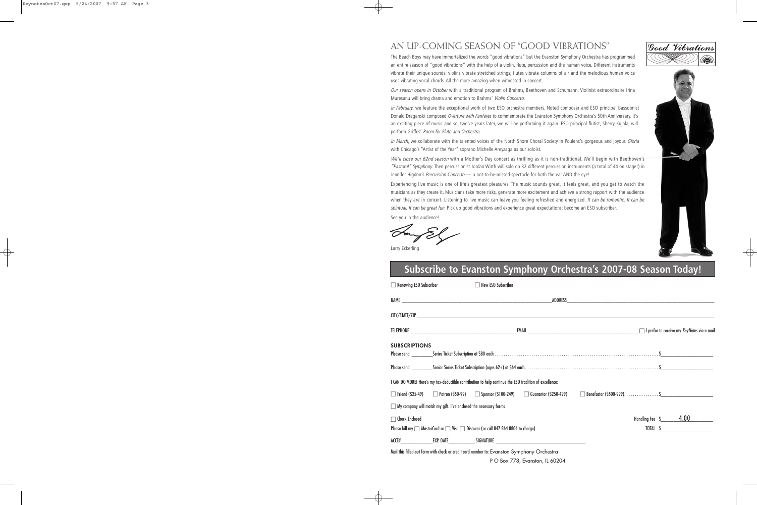#### AN UP-COMING SEASON OF "GOOD VIBRATIONS"

The Beach Boys may have immortalized the words "good vibrations" but the Evanston Symphony Orchestra has programmed an entire season of "good vibrations" with the help of a violin, flute, percussion and the human voice. Different instruments vibrate their unique sounds: violins vibrate stretched strings; flutes vibrate columns of air and the melodious human voice uses vibrating vocal chords. All the more amazing when witnessed in concert.

Our season opens in October with a traditional program of Brahms, Beethoven and Schumann. Violinist extraordinaire Irina Muresanu will bring drama and emotion to Brahms' Violin Concerto.

In February, we feature the exceptional work of two ESO orchestra members. Noted composer and ESO principal bassoonist Donald Draganski composed Overture with Fanfares to commemorate the Evanston Symphony Orchestra's 50th Anniversary. It's an exciting piece of music and so, twelve years later, we will be performing it again. ESO principal flutist, Sherry Kujala, will perform Griffes' Poem for Flute and Orchestra.

In March, we collaborate with the talented voices of the North Shore Choral Society in Poulenc's gorgeous and joyous Gloria with Chicago's "Artist of the Year" soprano Michelle Areyzaga as our soloist.

We'll close our 62nd season with a Mother's Day concert as thrilling as it is non-traditional. We'll begin with Beethoven's "Pastoral" Symphony. Then percussionist Jordan Wirth will solo on 32 different percussion instruments (a total of 44 on stage!) in Jennifer Higdon's Percussion Concerto - a not-to-be-missed spectacle for both the ear AND the eye!

Experiencing live music is one of life's greatest pleasures. The music sounds great, it feels great, and you get to watch the musicians as they create it. Musicians take more risks, generate more excitement and achieve a strong rapport with the audience when they are in concert. Listening to live music can leave you feeling refreshed and energized. It can be romantic. It can be spiritual. It can be great fun. Pick up good vibrations and experience great expectations; become an ESO subscriber.

See you in the audience!

□ Renewing ESO Subscriber □ New ESO Subscriber

Larry Eckerling

## **Subscribe to Evanston Symphony Orchestra's 2007-08 Season Today!**

|                                                                                   | $\Box$ includivities that $\Box$ is a sequence that $\Box$              | <b>ILL INGM LOO OUDSCHING!</b>                                                                         |                                                                                  |  |  |  |                     |
|-----------------------------------------------------------------------------------|-------------------------------------------------------------------------|--------------------------------------------------------------------------------------------------------|----------------------------------------------------------------------------------|--|--|--|---------------------|
|                                                                                   |                                                                         |                                                                                                        |                                                                                  |  |  |  |                     |
|                                                                                   |                                                                         |                                                                                                        |                                                                                  |  |  |  |                     |
|                                                                                   |                                                                         |                                                                                                        |                                                                                  |  |  |  |                     |
| <b>SUBSCRIPTIONS</b>                                                              |                                                                         |                                                                                                        |                                                                                  |  |  |  |                     |
|                                                                                   |                                                                         |                                                                                                        |                                                                                  |  |  |  |                     |
|                                                                                   |                                                                         | I CAN DO MORE! Here's my tax-deductible contribution to help continue the ESO tradition of excellence: |                                                                                  |  |  |  |                     |
|                                                                                   |                                                                         |                                                                                                        |                                                                                  |  |  |  |                     |
|                                                                                   | $\Box$ My company will match my gift. I've enclosed the necessary forms |                                                                                                        |                                                                                  |  |  |  |                     |
| $\Box$ Check Enclosed                                                             |                                                                         |                                                                                                        |                                                                                  |  |  |  | Handling Fee S 4.00 |
| Please bill my □ MasterCard or □ Visa □ Discover (or call 847.864.8804 to charge) |                                                                         |                                                                                                        |                                                                                  |  |  |  | TOTAL \$            |
|                                                                                   |                                                                         |                                                                                                        | ACCT#________________EXP. DATE______________SIGNATURE __________________________ |  |  |  |                     |
|                                                                                   |                                                                         | Mail this filled-out form with check or credit card number to: Evanston Symphony Orchestra             |                                                                                  |  |  |  |                     |